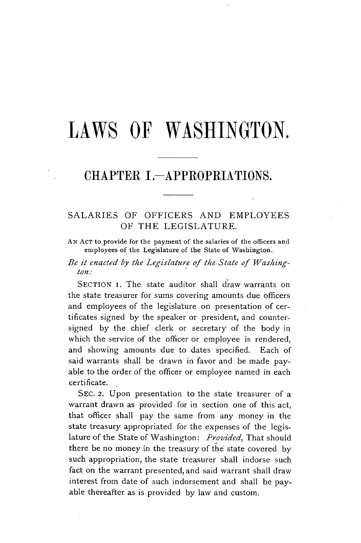# LAWS OF **WASHINGTON.**

# CHAPTER I.-APPROPRIATIONS.

## **SALARIES** OF OFFICERS **AND** EMPLOYEES OF THE **LEGISLATURE.**

**AN ACT** to provide for the payment of the salaries of the officers and employees of the Legislature of the State of Washington.

*Be it enacted by the Legislature of the State of Washington:*

SECTION I. The state auditor shall draw warrants on the state treasurer for sums covering amounts due officers and employees of the legislature on presentation of certificates signed **by** the speaker or president, and countersigned **by** the chief clerk or secretary of the body in which the service of the officer or employee is rendered, and showing amounts due to dates specified. Each of said warrants shall be drawn in favor and be made payable to the order of the officer or employee named in each certificate.

**SEc. 2.** Upon presentation to the state treasurer of a warrant drawn as provided for in section one of this act, that officer shall pay the same from any money in the state treasury appropriated for the expenses of the legislature of the State of Washington: *Provided,* That should there be no money in the treasury of the state covered **by** such appropriation, the state treasurer shall indorse such fact on the warrant presented, and said warrant shall draw interest from date of such indorsement and shall be payable thereafter as is provided **by** law and custom.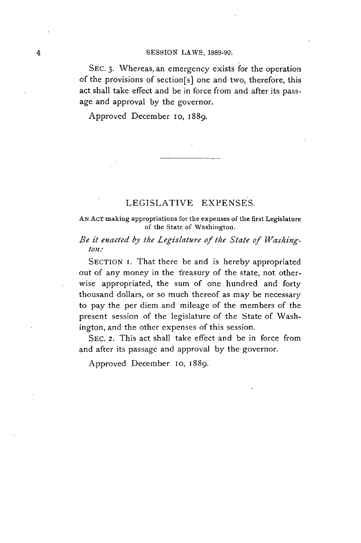#### 4 SESSION LAWS, **1889-90.**

**SEC. 3.** Whereas, an emergency exists for the operation of the provisions of section[s] one and two, therefore, this act shall take effect and be in force from and after its passage and approval **by** the governor.

Approved December lo, 1889.

## **LEGISLATIVE EXPENSES.**

**AN AcT** making appropriations for the expenses of the first Legislature of the State of Washington.

## *Be it enacted by the Legislature of the State of Washington.,*

**SECTION** i. That there be and is hereby appropriated out of any money in the treasury of the state, not otherwise appropriated, the sum of one hundred and forty thousand dollars, or so much thereof as may be necessary to pay the per diem and mileage of the members of the present session of the legislature of the State of Washington, and the other expenses of this session.

SEC. 2. This act shall take effect and be in force from and after its passage and approval **by** the governor.

Approved December 1o, 1889.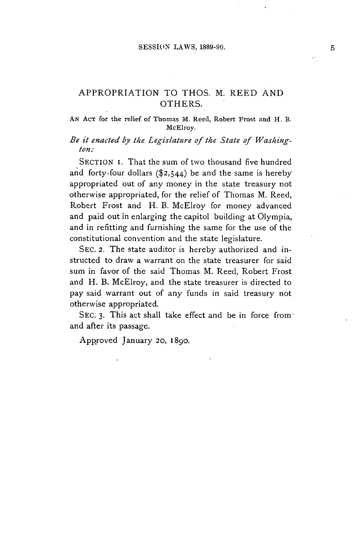## APPROPRIATION TO **THOS.** M. REED **AND** OTHERS.

#### **AN AcT for the relief of Thomas M. Reed, Robert Frost and H. B.** McElroy.

## *Be it enacted by the Legislature of the State of Washington:*

**SECTION** i. That the sum of two thousand five hundred and forty-four dollars (\$2,544) be and the same is hereby appropriated out of any money in the state treasury not otherwise appropriated, for the relief of Thomas M. Reed, Robert Frost and H. B. McElroy for money advanced and paid out in enlarging the capitol building at Olympia, and in refitting and furnishing the same for the use of the constitutional convention and the state legislature.

SEC. **2.** The state auditor is hereby authorized and instructed to draw a warrant on the state treasurer for said sum in favor of the said Thomas M. Reed, Robert Frost and H. B. McElroy, and the state treasurer is directed to pay said warrant out of any funds in said treasury not otherwise appropriated.

**SEc. 3.** This act shall take effect and be in force from and after its passage.

Approved January **20, 1890.**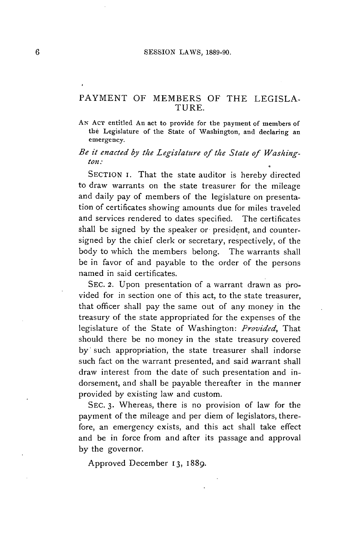## PAYMENT OF MEMBERS OF THE **LEGISLA-**TURE.

**AN AcT entitled An act to provide for the payment of members of the Legislature of the State of Washington, and declaring an emergency.**

#### *Be it enacted by the Legislature of the State of Washington.\**

**SECTION** I. That the state auditor is hereby directed to draw warrants on the state treasurer for the mileage and daily pay of members of the legislature on presentation of certificates showing amounts due for miles traveled and services rendered to dates specified. The certificates shall be signed **by** the speaker or president, and countersigned **by** the chief clerk or secretary, respectively, of the body to which the members belong. The warrants shall be in favor of and payable to the order of the persons named in said certificates.

SEC. 2. Upon presentation of a warrant drawn as provided for in section one of this act, to the state treasurer, that officer shall pay the same out of any money in the treasury of the state appropriated for the expenses of the **legislature** of the State of Washington: *Provided, That* should there be no money in the state treasury covered by such appropriation, the state treasurer shall indorse such fact on the warrant presented, and said warrant shall draw interest from the date of such presentation and indorsement, and shall be payable thereafter in the manner provided **by** existing law and custom.

**SEC. 3.** Whereas, there is no provision of law for the payment of the mileage and per diem of legislators, therefore, an emergency exists, and this act shall take effect and be in force from and after its passage and approval **by** the governor.

Approved December **13, 1889.**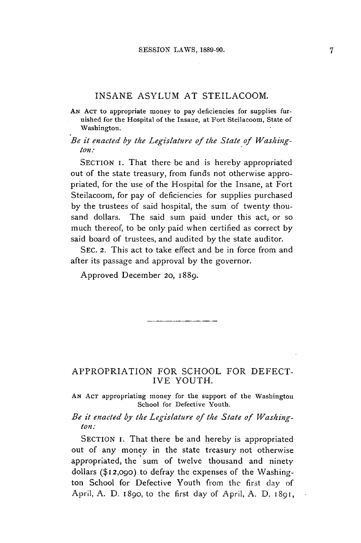#### **INSANE ASYLUM AT** STEILACOOM.

**AN AcT** to appropriate money to pay deficiencies for supplies furnished for the Hospital of the Insane, at Fort Steilacoom, State of Washington.

*Be it enacted by the Legislature of the State of Washington:*

**SECTION** I. That there be and is hereby appropriated out of the state treasury, from funds not otherwise appropriated, for the use of the Hospital for the Insane, at Fort Steilacoom, for pay of deficiencies for supplies purchased **by** the trustees of said hospital, the sum of twenty thousand dollars. The said sum paid under this act, or so much thereof, to be only paid when certified as correct **by** said board of trustees, and audited **by** the state auditor.

**SEc.** 2. This act to take effect and be in force from and after its passage and approval **by** the governor.

Approved December 20, 1889.

#### APPROPRIATION FOR **SCHOOL** FOR **DEFECT-**IVE **YOUTH.**

**AN ACT** appropriating money for the support of the Washington School for Defective Youth.

*Be it enacted by the Legislature of the State of Washington:*

SECTION I. That there be and hereby is appropriated out of any money in the state treasury not otherwise appropriated, the sum of twelve thousand and ninety dollars **(\$12,090)** to defray the expenses of the Washington School for Defective Youth from the first day of April, **A. D.** 1890, to the first day of April, **A. D. 1891,**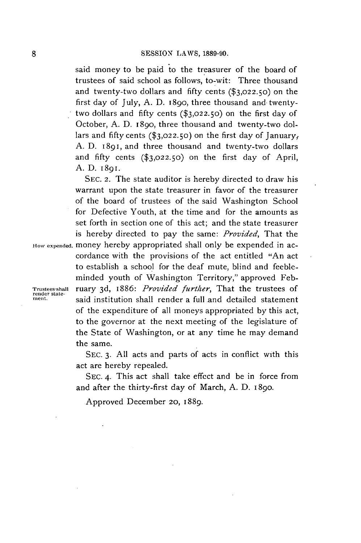said money to be paid to the treasurer of the board of trustees of said school as follows, to-wit: Three thousand and twenty-two dollars and **fifty** cents **(\$3,022.50)** on the first day of July, **A. D. 1890,** three thousand and twentytwo dollars and **fifty** cents **(\$3,022.50)** on the first day of October, **A. D. 1890,** three thousand and twenty-two dollars and **fifty** cents **(\$3,022.50)** on the first day of January, **A. D. 1891,** and three thousand and twenty-two dollars and **fifty** cents **(\$3,022.50)** on the first day of April, **A. D.** 1891.

**SEc. 2.** The state auditor is hereby directed to draw his warrant upon the state treasurer in favor of the treasurer of the board of trustees of the said Washington School for Defective Youth, at the time and for the amounts as set forth in section one of this act; and the state treasurer is hereby directed to pay the same: *Provided,* That the **How expended.** money hereby appropriated shall only be expended in accordance with the provisions of the act entitled "An act to establish a school for the deaf mute, blind and feebleminded youth of Washington Territory," approved Feb-**Trustees-shall ruary 3d, 1886:** *Provided further*, That the trustees of render state-<br> **State- State- Statement** said institution shall render a full and detailed statement of the expenditure of all moneys appropriated **by** this act, to the governor at the next meeting of the legislature of the State of Washington, or at any time he may demand the same.

> **SEC. 3. All** acts and parts of acts in conflict with this act are hereby repealed.

> **SEC.** 4. This act shall take effect and be in force from and after the thirty-first day of March, **A. D. 1890.**

Approved December **20, 1889.**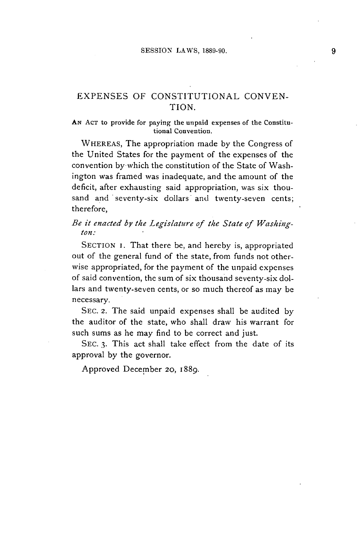## **EXPENSES** OF **CONSTITUTIONAL CONVEN-**TION.

#### **AN ACT to provide for paying the unpaid expenses of the Constitutional Convention.**

**WHEREAS,** The appropriation made **by** the Congress of the United States for the payment of the expenses of the convention by-which the constitution of the State of Washington was framed was inadequate, and the amount of the deficit, after exhausting said appropriation, was six thousand and seventy-six dollars and twenty-seven cents; therefore,

## *Be it enacted by the Legislature of the State of Washington.\**

**SECTION i.** That there be, and hereby is, appropriated out of the general fund of the state, from funds not otherwise appropriated, for the payment of the unpaid expenses of said convention, the sum of six thousand seventy-six dollars and twenty-seven cents, or so much thereof as may be necessary.

**SEC.** *2.* The said unpaid expenses shall be audited **by** the auditor of the state, who shall draw his warrant for such sums as he may find to be correct and just.

**SEC. 3.** This act shall take effect from the date of its approval **by** the governor.

Approved December *20,* 1889.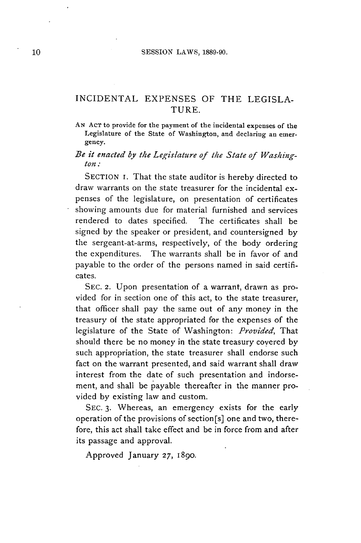## INCIDENTAL **EXPENSES** OF THE **LEGISLA-**TURE.

#### **AN ACT to provide for the payment of the incidental expenses of the Legislature of the State of Washington, and declaring an emergency.**

#### *Be it enacted by the Legislature of the State of Washington:*

**SECTION I.** That the state auditor is hereby directed to draw warrants on the state treasurer for the incidental expenses of the legislature, on presentation of certificates showing amounts due for material furnished and services rendered to dates specified. The certificates shall be signed **by** the speaker or president, and countersigned **by** the sergeant-at-arms, respectively, of the body ordering the expenditures. The warrants shall be in favor of and payable to the order of the persons named in said certificates.

**SEC. 2.** Upon presentation of a warrant, drawn as provided for in section one of this act, to the state treasurer, that officer shall pay the same out of **any** money in the treasury of the state appropriated for the expenses of the legislature of the State of Washington: *Provided, That* should there **be** no money in the state treasury covered **by** such appropriation, the state treasurer shall endorse such fact on the warrant presented, and said warrant shall draw interest from the date of such presentation and indorsement, and shall be payable thereafter in the manner provided **by** existing law and custom.

**SEC. 3.** Whereas, an emergency exists for the early operation of the provisions of section [s] one and two, therefore, this act shall take effect and be in force from and after its passage and approval.

Approved January **27, 1890.**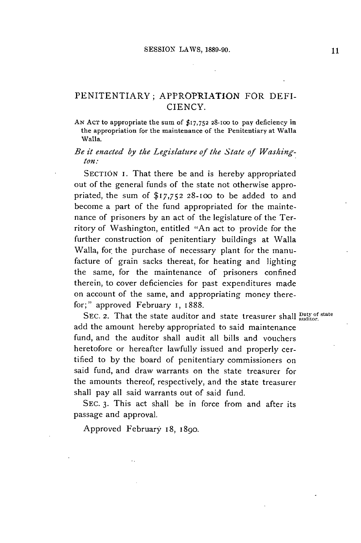## PENITENTIARY; APPROPRIATION FOR DEFI-**CIENCY.**

**AN ACT** to appropriate the sum **of \$17,752 28-100 to** pay deficiency in **the appropriation for the maintenance of the Penitentiary at Walla Walla.**

## *Be it enacted by the Legislature of the State of Washington:*

**SECTION i.** That there be and is hereby appropriated out of the general funds of the state not otherwise appropriated, the sum **of \$17,752 28-oo** to be added to and become a part of the fund appropriated for the maintenance of prisoners **by** an act of the legislature of the Territory of Washington, entitled "An act to provide for the further construction of penitentiary buildings at Walla Walla, for the purchase of necessary plant for the manufacture of grain sacks thereat, for heating and lighting the same, for the maintenance of prisoners confined therein, to cover deficiencies for past expenditures made on account of the same, and appropriating money therefor;" approved February I, 1888.

SEC. 2. That the state auditor and state treasurer shall **Duty of state** add the amount hereby appropriated to said maintenance fund, and the auditor shall audit all bills and vouchers heretofore or hereafter lawfully issued and properly certified to **by** the board of penitentiary commissioners on said fund, and draw warrants on the state treasurer for the amounts thereof, respectively, and the state treasurer shall pay all said warrants out of said fund.

**SEC. 3.** This act shall be in force from and after its passage and approval.

Approved February 18, **1890.**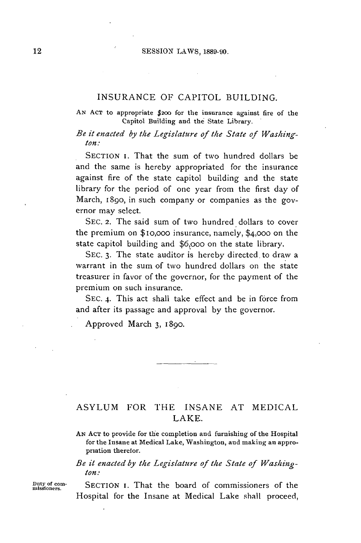#### **INSURANCE** OF **CAPITOL** BUILDING.

#### **AN ACT** to appropriate **\$200** for the insurance against fire of the Capitol Building and the State Library.

*Be it enacted by the Legislature of the State of Washington:*

**SECTION** i. That the sum of two hundred dollars be and the same is hereby appropriated for the insurance against fire of the state capitol building and the state library for the period of one year from the first day of March, 18go, in such company or companies as the governor may select.

**SEC. 2.** The said sum of two hundred dollars to cover the premium on \$io,ooo insurance, namely, \$4,000 on the state capitol building and **\$6,ooo** on the state library.

SEC. 3. The state auditor is hereby directed to draw a warrant in the sum of two hundred dollars on the state treasurer in favor of the governor, for the payment of the premium on such insurance.

**SEC.** 4. This act shall take effect and be in force from and after its passage and approval **by** the governor.

Approved March **3,** 1890.

## **ASYLUM** FOR **THE INSANE AT MEDICAL** LAKE.

**AN AcT** to provide for the completion and furnishing of the Hospital for the Insane at Medical Lake, Washington, and making an appropriation therefor.

#### *Be it enacted by the Legislature of the State of Washington:*

**Duty of com-** SECTION i. That the board of commissioners of the **missioners.** Hospital for the Insane at Medical Lake shall proceed,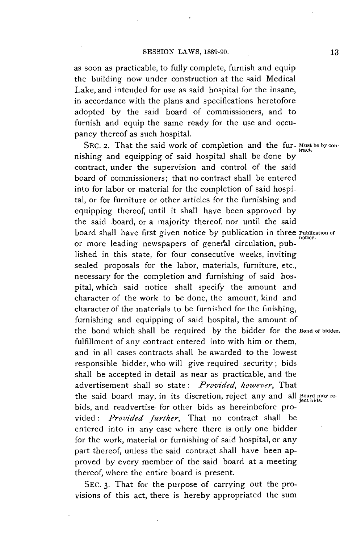as soon as practicable, to fully complete, furnish and equip the building now under construction at the said Medical Lake, and intended for use as said hospital for the insane, in accordance with the plans and specifications heretofore adopted **by** the said board of commissioners, and to furnish and equip the same ready for the use and occupancy thereof as such hospital.

SEC. 2. That the said work of completion and the fur- Must be by connishing and equipping of said hospital shall be done **by** contract, under the supervision and control of the said board of commissioners; that no contract shall be entered into for labor or material for the completion of said hospital, or for furniture or other articles for the furnishing and equipping thereof, until it shall have been approved **by** the said board, or a majority thereof, nor until the said board shall have first given notice **by** publication in three **Publication of** notice. or more leading newspapers of genefal circulation, published in this state, for four consecutive weeks, inviting sealed proposals for the labor, materials, furniture, etc., necessary for the completion and furnishing of said hospital, which said notice shall specify the amount and character of the work to be done, the amount, kind and character of the materials to be furnished for the finishing, furnishing and equipping of said hospital, the amount of the bond which shall be required **by** the bidder for the Bond **of bidder.** fulfillment of any contract entered into with him or them, and in all cases contracts shall be awarded to the lowest responsible bidder, who will give required security; bids shall be accepted in detail as near as practicable, and the advertisement shall so state: *Provided, however, That* the said board may, in its discretion, reject any and all **Board may re- ject bids.** bids, and readvertise- for other bids as hereinbefore pro*vided: Provided further,* That no contract shall be entered into in any case where there is only one bidder for the work, material or furnishing of said hospital, or any part thereof, unless the said contract shall have been approved **by** every member of the said board at a meeting thereof, where the entire board is present.

**SEC. 3.** That for the purpose of carrying out the provisions of this act, there is hereby appropriated the sum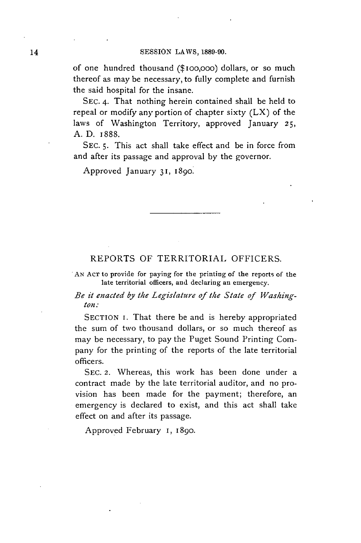of one hundred thousand (\$ioo,ooo) dollars, or so much thereof as may be necessary, to fully complete and furnish the said hospital for the insane.

**SEC.** 4. That nothing herein contained shall be held to repeal or modify any portion of chapter sixty (LX) of the laws of Washington Territory, approved January **25, A. D. 1888.**

**SEC. 5.** This act shall take effect and be in force from and after its passage and approval **by** the governor.

Approved January **31, 1890.**

#### REPORTS OF TERRITORIAL OFFICERS.

**AN ACT** to provide for paying for the printing of the reports of the late territorial officers, and declaring an emergency.

*Be it enacted by the Legislature of the State of Washington.:*

**SECTION** I. That there be and is hereby appropriated the sum of two thousand dollars, or so much thereof as may be necessary, to pay the Puget Sound Printing Company for the printing of the reports of the late territorial officers.

**SEC. 2.** Whereas, this work has been done under a contract made **by** the late territorial auditor, and no provision has been made for the payment; therefore, an emergency is declared to exist, and this act shall take effect on and after its passage.

Approved February **I, 1890.**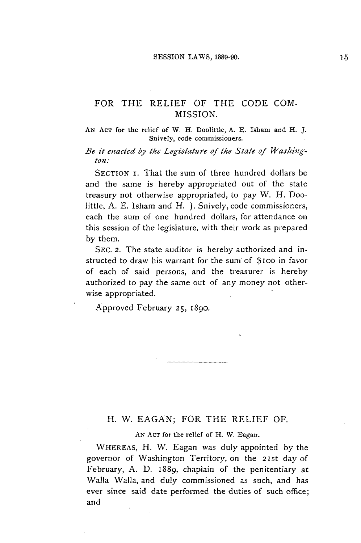## FOR THE RELIEF OF THE **CODE COM-MISSION.**

**AN ACT** for the relief of W. H. Doolittle, **A. E.** Isham and H. **J.** Snively, code commissioners.

*Be it enacted by the Legislature of the State of Washington:*

**SECTION** *i.* That the sum of three hundred dollars be and the same is hereby appropriated out of the state treasury not otherwise appropriated, to pay W. H. Doolittle, **A. E.** Isham and H. **J.** Snively, code commissioners, each the sum of one hundred dollars, for attendance on this session of the legislature, with their work as prepared **by** them.

**SEC. 2.** The state auditor is hereby authorized and instructed to draw his warrant for the suni of \$ioo in favor of each of said persons, and the treasurer is hereby authorized to pay the same out of any money not otherwise appropriated.

Approved February **25, 1890.**

#### H. W. **EAGAN;** FOR THE RELIEF OF.

**AN AcT** for the relief of H. W. Eagan.

WHEREAS, H. W. Eagan was duly appointed **by** the governor of Washington Territory, on the 21st day of February, **A. D.** 1889, chaplain of the penitentiary at Walla Walla, and duly commissioned as such, and has ever since said date performed the duties of such office; and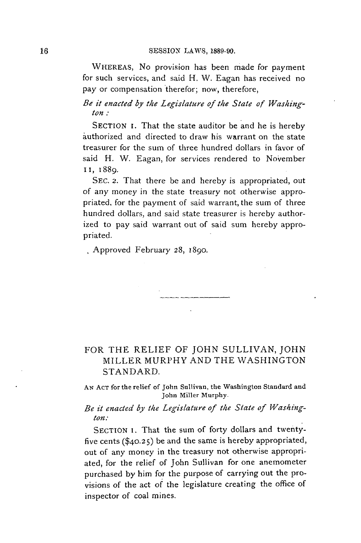#### **SESSION** LAWS, **1889-90.**

WHEREAS, No provision has been made for payment for such services, and said H. W. Eagan has received no pay or compensation therefor; now, therefore,

*Be it enacted by the Legislature of the State of Washington.:*

SECTION I. That the state auditor be and he is hereby authorized and directed to draw his warrant on the state treasurer for the sum of three hundred dollars in favor of said H. W. Eagan, for services rendered to November **II, 1889.**

SEC. **2.** That there **be** and hereby is appropriated, out of any money in the state treasury not otherwise appropriated, for the payment of said warrant, the sum of three hundred dollars, and said state treasurer is hereby authorized to pay said warrant out of said sum hereby appropriated.

Approved February **28,** 1890.

## FOR THE RELIEF OF **JOHN SULLIVAN, JOHN** MILLER MURPHY **AND** THE **WASHINGTON STANDARD.**

**AN** AcT for the relief of John Sullivan, the Washington Standard and John Miller Murphy.

## *Be it enacted by* the *Legislature of the State of Washington:*

SECTION 1. That the sum of forty dollars and twentyfive cents **(\$40.25)** be and the same is hereby appropriated, out of any money in the treasury not otherwise appropriated, for the relief of John Sullivan for one anemometer purchased **by** him for the purpose of carrying out the provisions of the act of the legislature creating the office of inspector of coal mines.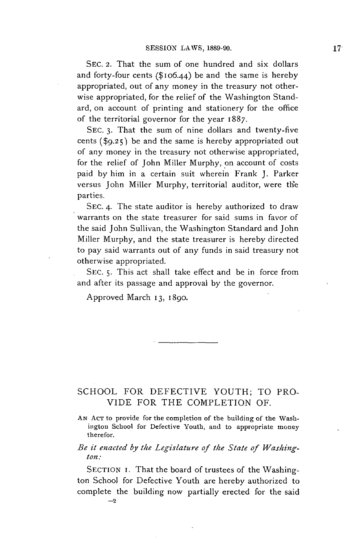**SEC. 2.** That the sum of one hundred and six dollars and forty-four cents (\$106.44) be and the same is hereby appropriated, out of any money in the treasury not otherwise appropriated, for the relief of the Washington Standard, on account of printing and stationery for the office of the territorial governor for the year 1887.

**SEC. 3.** That the sum of nine dollars and twenty-five cents **(\$9.25)** be and the same is hereby appropriated out of any money in the treasury not otherwise appropriated, for the relief of John Miller Murphy, on account of costs paid **by** him in a certain suit wherein Frank **J.** Parker versus John Miller Murphy, territorial auditor, were the parties.

**SEC.** 4. The state auditor is hereby authorized to draw warrants on the state treasurer for said sums in favor of the said John Sullivan, the Washington Standard and John Miller Murphy, and the state treasurer is hereby directed to pay said warrants out of any funds in said treasury not otherwise appropriated.

**SEC. 5.** This act shall take effect and **be** in force from and after its passage and approval **by** the governor.

Approved March 13, 1890.

**-2**

## **SCHOOL** FOR **DEFECTIVE YOUTH;** TO PRO-**VIDE** FOR THE COMPLETION OF.

**AN ACT** to provide for the completion of the building of the Washington School for Defective Youth, and to appropriate money therefor.

## *Be it enacted by the Legislature of the State of Washington:*

**SECTION I.** That the board of trustees of the Washington School for Defective Youth are hereby authorized to complete the building now partially erected for the said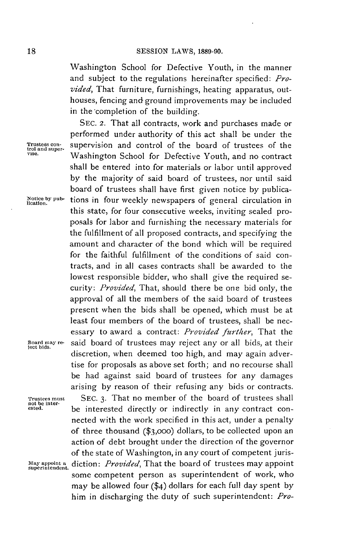Washington School for Defective Youth, in the manner and subject to the regulations hereinafter specified: *Provided,* That furniture, furnishings, heating apparatus, outhouses, fencing and ground improvements may be included in the completion of the building.

**SEC.** 2. That all contracts, work and purchases made or performed under authority of this act shall be under the **Trustees con-** supervision and control of the board of trustees of the **vise.** Washington School for Defective Youth, and no contract shall be entered into for materials or labor until approved **by** the majority of said board of trustees, nor until said board of trustees shall have first given notice **by** publica-Notice by pub- tions in four weekly newspapers of general circulation in this state, for four consecutive weeks, inviting sealed proposals for labor and furnishing the necessary materials for the fulfillment of all proposed contracts, and specifying the amount and character of the bond which will be required for the faithful fulfillment of the conditions of said contracts, and in all cases contracts shall **be** awarded to the lowest responsible bidder, who shall give the required se*curity: Provided,* That, should there be one bid only, the approval of all the members of the said board of trustees present when the bids shall be opened, which must be at least four members of the board of trustees, shall be necessary to award a contract: *Provided further,* That the Board may re- said board of trustees may reject any or all bids, at their discretion, when deemed too high, and may again advertise for proposals as above set forth; and no recourse shall be had against said board of trustees for any damages arising **by** reason of their refusing any bids or contracts. **Trustees must** SEC. 3. That no member of the board of trustees shall not be inter-<br>asted. <br>**be interested directly or indirectly in any contract con**nected with the work specified in this act, under a penalty of three thousand **(\$3,ooo)** dollars, to be collected upon an action of debt brought under the direction **of** the governor of the state of Washington, in any court of competent juris-**May appoint a** *diction: Provided,* That the board of trustees may appoint **superintendent.** some competent person as superintendent of work, who may be allowed four (\$4) dollars for each full day spent **by** him in discharging the. duty of such superintendent: *Pro-*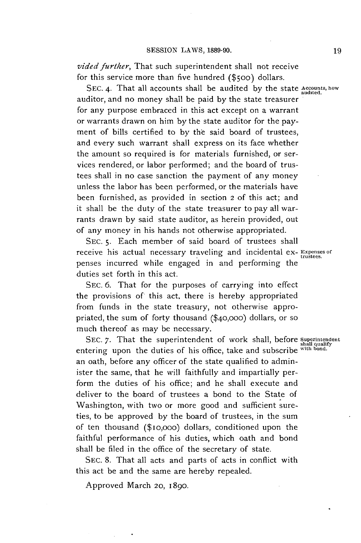*vided further,* That such superintendent shall not receive for this service more than five hundred **(\$500)** dollars.

**SEC. 4.** That all accounts shall be audited by the state **Accounts**, how auditor, and no money shall **be** paid **by** the state treasurer for any purpose embraced in this act except on a warrant or warrants drawn on him **by** the state auditor for the payment of bills certified to **by** the said board of trustees, and every such warrant shall express on its face whether the amount so required is for materials furnished, or services rendered, or labor performed; and the board of trustees shall in no case sanction the payment of any money unless the labor has been performed, or the materials have been furnished, as provided in section *2* of this act; and it shall be the duty of the state treasurer to pay all warrants drawn **by** said state auditor, as herein provided, out of any money in his hands not otherwise appropriated.

**SEC. 5.** Each member of said board of trustees shall receive his actual necessary traveling and incidental ex- **Expenses** of penses incurred while engaged in and performing the duties set forth in this act.

SEC. **6.** That for the purposes of carrying into effect the provisions of this act, there is hereby appropriated from funds in the state treasury, not otherwise appropriated, the sum of forty thousand **(\$40,ooo)** dollars, or so much thereof as may be necessary.

SEC. 7. That the superintendent of work shall, before *Superintenden* entering upon the duties of his office, take and subscribe with bond. an oath, before any officer of the state qualified to administer the same, that he will faithfully and impartially perform the duties of his office; and he shall execute and deliver to the board of trustees a bond to the State of Washington, with two or more good and sufficient sureties, to be approved **by** the board of trustees, in the sum of ten thousand (\$io,ooo) dollars, conditioned upon the faithful performance of his duties, which oath and bond shall be filed in the office of the secretary of state.

**SEC. 8.** That all acts and parts of acts in conflict with this act be and the same are hereby repealed.

Approved March *20,* **1890.**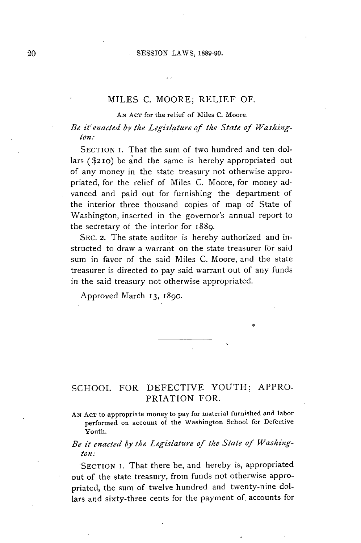#### **SESSION** LAWS, **1889-90.**

## **MILES C.** MOORE; RELIEF OF.

**AN** AcT for the relief of Miles **C.** Moore.

*Be it'enacted by the Legislature of the State of Washington:*

**SECTION** i. That the sum of two hundred and ten dollars (\$21o) be and the same is hereby appropriated out of any money in the state treasury not otherwise appropriated, for the relief of Miles **C.** Moore, for money advanced and paid out for furnishing the department of the interior three thousand copies of map of State of Washington, inserted in the governor's annual report to the secretary of the interior for 1889.

**SEC.** 2. The state auditor is hereby authorized and instructed to draw a warrant on the state treasurer for said sum in favor of the said Miles **C.** Moore, and the state treasurer is directed to pay said warrant out of any funds in the said treasury not otherwise appropriated.

Approved March **13,** 1890.

## **SCHOOL** FOR **DEFECTIVE** YOUTH; APPRO-PRIATION FOR.

**AN AcT** to appropriate money to pay for material furnished and labor performed on account of the Washington School for Defective Youth.

## *Be it enacted by the Legislature of the State of Washington:*

**SECTION** i. That there be, and hereby is, appropriated out of the state treasury, from funds not otherwise appropriated, the sum of twelve hundred and twenty-nine dollars and sixty-three cents for the payment of. accounts for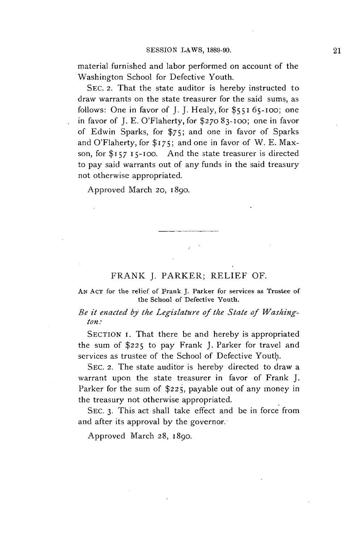material furnished and labor performed on account of the Washington School for Defective Youth.

**SEc.** 2. That the state auditor is hereby instructed to draw warrants on the state treasurer for the said sums, as follows: One in favor of **J. J.** Healy, for **\$551 65-100;** one in favor of **J. E.** O'Flaherty, for \$270 **83-100;** one in favor of Edwin Sparks, for **\$75;** and one in favor of Sparks and O'Flaherty, for **\$175;** and one in favor of W. **E.** Maxson, for  $$157$   $15$ -100. And the state treasurer is directed to pay said warrants out of any funds in the said treasury not otherwise appropriated.

Approved March 20, 1890.

#### FRANK **J.** PARKER; RELIEF OF.

**AN ACT** for the relief of Frank **J.** Parker for services as Trustee of the School of Defective Youth.

*Be it enacted by the Legislature of the State of Washington.:*

**SECTION** i. That there be and hereby is appropriated the **sum of \$225** to pay Frank **J.** Parker for travel and services as trustee of the School of Defective Youth.

**SEc.** 2. The state auditor is hereby directed to draw a warrant upon the state treasurer in favor of Frank **J.** Parker for the sum of \$225, payable out of any money in the treasury not otherwise appropriated.

**SEC. 3.** This act shall take effect and **be** in force from and after its approval **by** the governor.

Approved March **28,** 1890.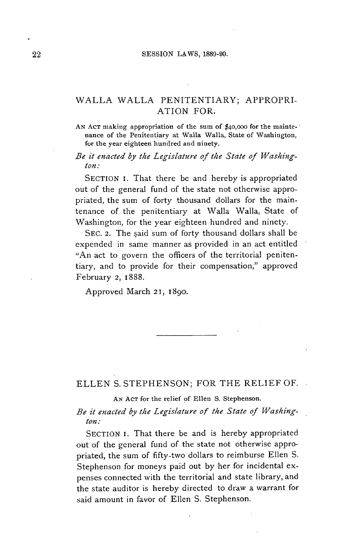## WALLA WALLA PENITENTIARY; APPROPRI-ATION FOR.

**AN ACT** making appropriation of the sum **of** \$40,000 for the maintenance of the Penitentiary at Walla Walla, State of Washington, for the year eighteen hundred and ninety.

*Be it enacted by the Legislature of the State of Washington:*

**SECTION i.** That there be and hereby is appropriated out of the general fund of the state not otherwise appropriated, the sum of forty thousand dollars for the maintenance of the penitentiary at Walla Walla, State of Washington, for the year eighteen hundred and ninety.

**SEC. 2.** The said sum of forty thousand dollars shall be expended in same manner as provided in an act entitled "An act to govern the officers of the territorial penitentiary, and to provide for their compensation," approved February **2,** 1888.

Approved March 2 1, **1890.**

**ELLEN S. STEPHENSON;** FOR THE RELIEF OF.

**AN ACT** for the relief **of** Ellen **S.** Stephenson.

*Be it enacted by the Legislature of the State of Washington:*

SECTION I. That there be and is hereby appropriated out of the general fund of the state not otherwise appropriated, the sum of fifty-two dollars to reimburse Ellen **S.** Stephenson for moneys paid out **by** her for incidental expenses connected with the territorial and state library, and the state auditor is hereby directed to draw a warrant for said amount in favor of Ellen **S.** Stephenson.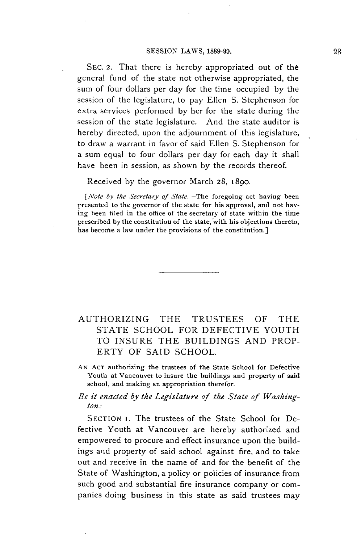**SEC.** 2. That there is hereby appropriated out of the general fund of the state not otherwise appropriated, the sum of four dollars per day for the time occupied **by** the session of the legislature, to pay Ellen **S.** Stephenson for extra services performed **by** her for the state during the session of the state legislature. And the state auditor is hereby directed, upon the adjournment of this legislature, to draw a warrant in favor of said Ellen **S.** Stephenson for a sum equal to four dollars per day for each day it shall have been in session, as shown **by** the records thereof.

Received **by** the governor March **28,** 1890.

*[Note by the Secretary of State.*-The foregoing act having been presented to the governor of the state for his approval, and not having been filed in the office of the secretary of state within the time prescribed **by** the constitution of the state, with his objections thereto, has become a law under the provisions of the constitution.]

## AUTHORIZING THE **TRUSTEES** OF THE **STATE SCHOOL** FOR DEFECTIVE **YOUTH** TO INSURE THE **BUILDINGS AND** PROP-ERTY OF **SAID SCHOOL.**

**AN ACT** authorizing the trustees of the State School for Defective Youth at Vancouver to insure the buildings and property of said school, and making an appropriation therefor.

#### *Be it enacted by the Legislature of the State of Washington:*

SECTION I. The trustees of the State School for Defective Youth at Vancouver are hereby authorized and empowered to procure and effect insurance upon the buildings and property of said school against fire, and to take out and receive in the name of and for the benefit of the State of Washington, a policy or policies of insurance from such good and substantial fire insurance company or companies doing business in this state as said trustees may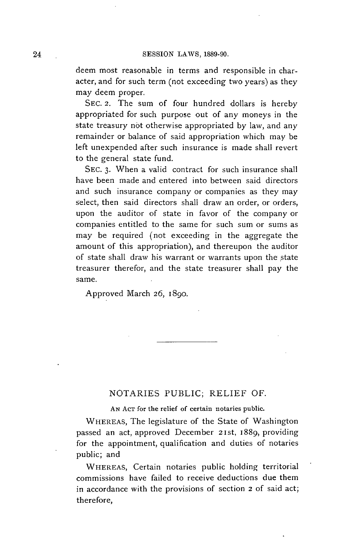deem most reasonable in terms and responsible in character, and for such term (not exceeding two years) as they may deem proper.

**SEc. 2.** The sum of four hundred dollars is hereby appropriated for such purpose out of any moneys in the state treasury not otherwise appropriated **by** law, and any remainder or balance of said appropriation which may be left unexpended after such insurance is made shall revert to the general state fund.

**SEC. 3.** When a valid contract for such insurance shall have been made and entered into between said directors and such insurance company or companies as they may select, then said directors shall draw an order, or orders, upon the auditor of state in favor of the company or companies entitled to the same for such sum or sums as may be required (not exceeding in the aggregate the amount of this appropriation), and thereupon the auditor of state shall draw his warrant or warrants upon the state treasurer therefor, and the state treasurer shall pay the same.

Approved March **26,** 1890.

#### **NOTARIES** PUBLIC; RELIEF OF.

**AN AcT for the relief of certain notaries public.**

WHEREAS, The legislature of the State of Washington passed an act, approved December **21st,** 1889, providing for the appointment, qualification and duties of notaries public; and

**WHEREAS,** Certain notaries public holding territorial commissions have failed to receive deductions due them in accordance with the provisions of section **2 of** said act; therefore,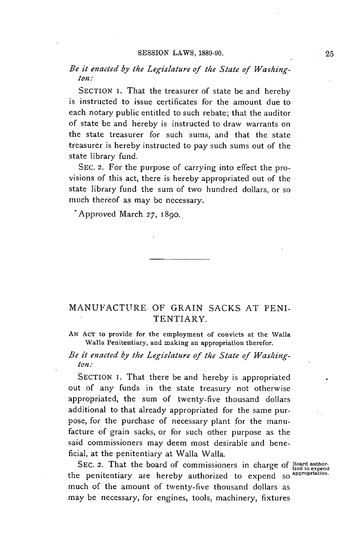## *Be it enacted by the Legislature of the State of Washington:*

**SECTION** i. That the treasurer of state be and hereby is instructed to issue certificates for the amount due to each notary public entitled to such rebate; that the auditor of state **be** and hereby is instructed to draw warrants on the state treasurer for such sums, and that the state treasurer is hereby instructed to pay such sums out of the state library fund.

**SEC. 2.** For the purpose of carrying into effect the provisions of this act, there is hereby appropriated out of the state library fund the sum of two hundred dollars, or so much thereof as may be necessary.

'Approved March **27,** 1890..

## **MANUFACTURE** OF GRAIN **SACKS AT PENI-**TENTIARY.

**AN ACT** to provide for the employment of convicts at the Walla Walla Penitentiary, and making an appropriation therefor.

## *Be it enacted by the Legislature of the State of Washington:*

SECTION **i.** That there be and hereby is appropriated out of any funds in the state treasury not otherwise appropriated, the sum of twenty-five thousand dollars additional to that already appropriated for the same purpose, for the purchase of necessary plant for the manufacture of grain sacks, or for such other purpose as the said commissioners may deem most desirable and beneficial, at the penitentiary at Walla Walla.

SEC. 2. That the board of commissioners in charge of Board authorthe penitentiary are hereby authorized to expend **so appropriation.** much of the amount of twenty-five thousand dollars as may be necessary, for engines, tools, machinery, fixtures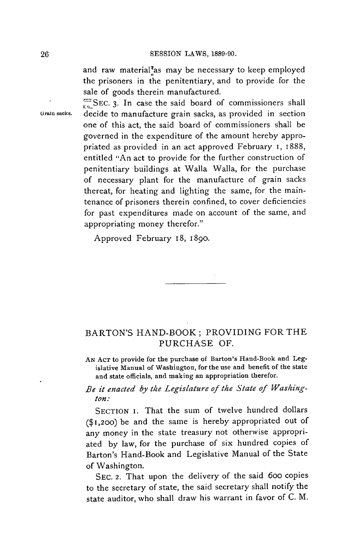and raw material<sup>7</sup>as may be necessary to keep employed the prisoners in the penitentiary, and to provide *for* the sale of goods therein manufactured.

SEC. 3. In case the said board of commissioners shall **Grain sacks.** decide to manufacture grain sacks, as provided in section one of this act, the said board of commissioners shall be governed in the expenditure of the amount hereby appropriated as provided in an act approved February **i,** 1888, entitled "An act to provide for the further construction of penitentiary buildings at Walla Walla, for the purchase of necessary plant for the manufacture of grain sacks thereat, for heating and lighting the same, for the maintenance of prisoners therein confined, to cover deficiencies for past expenditures made on account of the same, and appropriating money therefor."

Approved February 18, **1890.**

## BARTON'S HAND-BOOK; PROVIDING FOR THE **PURCHASE** OF.

**AN AcT to provide for the purchase of Barton's Hand-Book and Legislative Manual of Washington, for the use and benefit of the state and state officials, and making an appropriation therefor.**

## *Be it enacted by the Legislature of the State of Washington:*

SECTION I. That the sum of twelve hundred dollars **(\$1,200)** be and the same is hereby appropriated out of any money in the state treasury not otherwise appropriated **by** law, for the purchase of six hundred copies of Barton's Hand-Book and Legislative Manual of the State of Washington.

**SEC. 2.** That upon the delivery of the said 6oo copies to the secretary of state, the said secretary shall notify the state auditor, who shall draw his warrant in favor of **C.** M.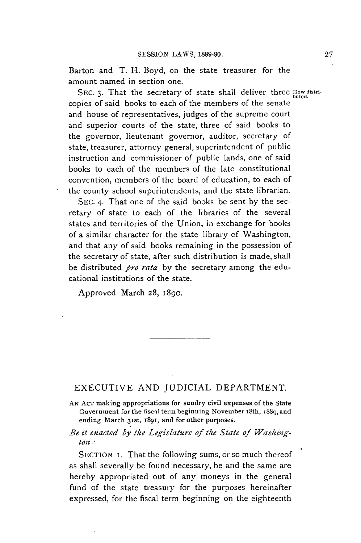Barton and T. H. Boyd, on the state treasurer for the amount named in section one.

SEC. 3. That the secretary of state shall deliver three **How distri**copies of said books to each of the members of the senate and house of representatives, judges of the supreme court and superior courts of the state, three of said books to the governor, lieutenant governor, auditor, secretary of state, treasurer, attorney general, superintendent of public instruction and commissioner of public lands, one of said books to each of the members of the late constitutional convention, members of the board of education, to each of the county school superintendents, and the state librarian.

**SEC.** 4. That one of the said books be sent **by** the secretary of state to each of the libraries of the several states and territories of the Union, in exchange for books of a similar character for the state library of Washington, and that any of said books remaining in the possession of the secretary of state, after such distribution is made, shall be distributed *pro rata* **by** the secretary among the educational institutions of the state.

Approved March **28,** 1890.

## EXECUTIVE **AND** JUDICIAL DEPARTMENT.

**AN ACT** making appropriations for sundry civil expenses of the State Government for the fiscal term beginning November 18th, 1889, and ending March 31st, 1891, and for other purposes.

*Be it enacted by the Legislature of the State of Washington.*

SECTION **i.** That the following sums, or so much thereof as shall severally be found necessary, be and the same are hereby appropriated out of any moneys in the general fund of the state treasury for the purposes hereinafter expressed, for the fiscal term beginning on the eighteenth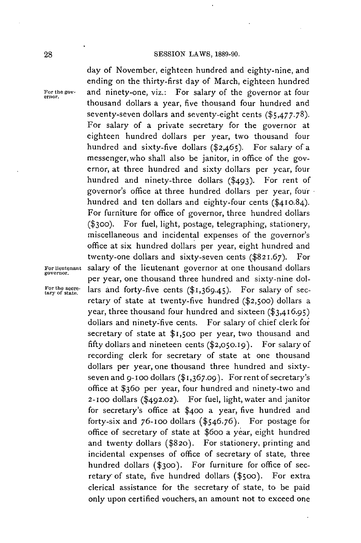# **SESSION** LAWS, **1889-90.** day of November, eighteen hundred and eighty-nine, and

ending on the thirty-first day of March, eighteen hundred For the gov- and ninety-one, viz.: For salary of the governor at four thousand dollars a year, five thousand four hundred and seventy-seven dollars and seventy-eight cents **(\$5,477.78).** For salary of a private secretary for the governor at eighteen hundred dollars per year, two thousand four hundred and sixty-five dollars  $(\$2,465)$ . For salary of a messenger,who shall also be janitor, in office of the governor, at three hundred and sixty dollars per year, four hundred and ninety-three dollars (\$493). For rent of governor's office at three hundred dollars per year, four hundred and ten dollars and eighty-four cents **(\$410.84).** For furniture for office of governor, three hundred dollars **(\$3oo).** For fuel, light, postage, telegraphing, stationery, miscellaneous and incidental expenses of the governor's office at six hundred dollars per year, eight hundred and twenty-one dollars and sixty-seven cents **(\$821.67).** For **For lieutenant** salary of the lieutenant governor at one thousand dollars per year, one thousand three hundred and sixty-nine dol- For the secre- lars and forty-five cents (\$1,369.45). For salary of sec-<br>tary of state. retary of state at twenty-five hundred **(\$2,500)** dollars a year, three thousand four hundred and sixteen **(\$3,416.95)** dollars and ninety-five cents. For salary of chief clerk for secretary of state at **\$1,500** per year, two thousand and **fifty** dollars and nineteen cents **(\$2,050.19).** For salary of recording clerk for secretary of state at one thousand dollars per year, one thousand three hundred and sixtyseven and **9-loo** dollars *(\$1,367.09).* For rent of secretary's office at \$360 per year, four hundred and ninety-two and 2-100 dollars (\$492.02). For fuel, light, water and janitor for secretary's office at **\$400** a year, five hundred and forty-six and **76-loo** dollars **(\$546.76).** For postage for office of secretary of state at \$6oo a year, eight hundred and twenty dollars **(\$820).** For stationery, printing and incidental expenses of office of secretary of state, three hundred dollars **(\$300).** For furniture for office of secretary of state, five hundred dollars (\$500). For extra clerical assistance for the secretary of state, to be paid only upon certified vouchers, an amount not to exceed one

**governor.**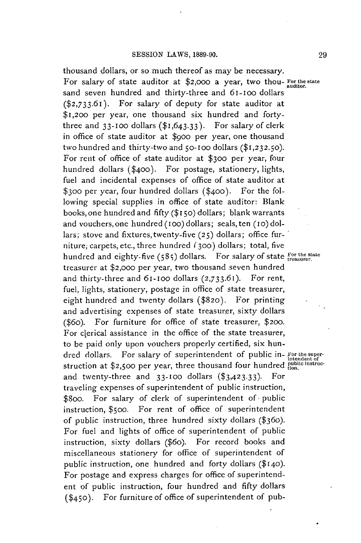thousand dollars, or so much thereof as may be necessary. For salary of state auditor at \$2,000 a year, two thou- For the state sand seven hundred and thirty-three and 61-100 dollars **(\$2,733.61).** For salary of deputy for state auditor at **\$1,200** per year, one thousand six hundred and fortythree and  $33-100$  dollars  $($1,643.33)$ . For salary of clerk in office of state auditor at **\$9oo** per year, one thousand two hundred and thirty-two and 50-100 dollars (\$1,232.50). For rent of office of state auditor at **\$300** per year, four hundred dollars **(\$400).** For postage, stationery, lights, fuel and incidental expenses of office of state auditor at **\$300** per year, four hundred dollars **(\$400).** For the following special supplies in office of state auditor: Blank books, one hundred and **fifty (\$150)** dollars; blank warrants and vouchers,one hundred **(1oo)** dollars; seals, ten (io) dollars; stove and fixtures,twenty-five **(25)** dollars; office furniture, carpets, etc., three hundred **(300)** dollars; total, five hundred and eighty-five (585) dollars. For salary of state *for the state te saurer*. treasurer at **\$2,000** per year, two thousand.seven hundred and thirty-three and 61-ioo dollars **(2,733.61).** For rent, fuel, lights, stationery, postage in office of state treasurer, eight hundred and twenty dollars **(\$820).** For printing and advertising expenses of state treasurer, sixty dollars (\$6o). For furniture for office of state treasurer, **\$200.** For clerical assistance in the office of the state treasurer, to be paid only upon vouchers properly certified, six hundred dollars. For salary of superintendent of public in- **For the super**struction at \$2,500 per year, three thousand four hundred **public instruc**and twenty-three and **33-oo** dollars **(\$3,423.33).** For traveling expenses of superintendent of public instruction, \$800. For salary of clerk of superintendent of public instruction, \$5oo. For rent of office of superintendent of public instruction, three hundred sixty dollars (\$360). For fuel and lights of office of superintendent of public instruction, sixty dollars (\$6o). For record books and miscellaneous stationery for office of superintendent of public instruction, one hundred and forty dollars **(\$140).** For postage and express charges for office of superintendent of public instruction, four hundred and **fifty** dollars **(\$450).** For furniture of office of superintendent of pub-

**29**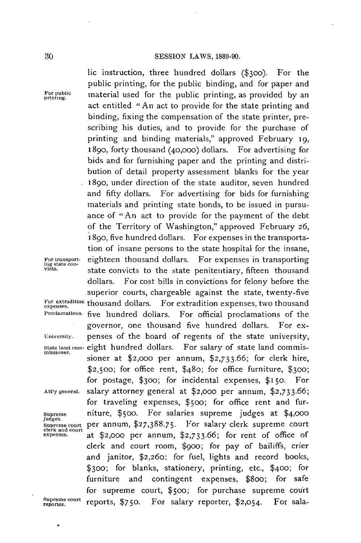lic instruction, three hundred dollars **(\$300).** For the public printing, for the public binding, and for paper and For public material used for the public printing, as provided by an act entitled "An act to provide for the state printing and binding, fixing the compensation of the state printer, prescribing his duties, and to provide for the purchase of printing and binding materials," approved February 19, 1890, forty thousand (40,ooo) dollars. For advertising for bids and for furnishing paper and the printing and distribution of detail property assessment blanks for the year 1890, under direction of the state auditor, seven hundred and **fifty** dollars. For advertising for bids for furnishing materials and printing state bonds, to be issued in pursuance of "An act to provide for the payment of the debt of the Territory of Washington," approved February **26,** 18go, five hundred dollars. For expenses in the transportation of insane persons to the state hospital for the insane, For transport- eighteen thousand dollars. For expenses in transporting ing state con-<br> **state convicts** to the state penitentiary, fifteen thousand dollars. For cost bills in convictions for felony before the superior courts, chargeable against the state, twenty-five For extradition thousand dollars. For extradition expenses, two thousand **Proclamations** five hundred dollars. For official proclamations of the governor, one thousand five hundred dollars. For ex-**University.** penses of the board of regents of the state university, **State land com-** eight hundred dollars. For salary of state land commis- **missioner.** sioner at \$2,000 per annum, **\$2,733.66;** for clerk hire, **\$2,500;** for office rent, \$480; for office furniture, **\$300;** for postage, **\$300;** for incidental expenses, \$I5o. For **Att'ygeneral.** salary attorney general at \$2,000 per annum, **\$2,733.66;** for traveling expenses, \$5oo; for office rent and fur-**Supreme** niture, \$5oo. For salaries supreme judges at **\$4,000** judges. Supremecourt per annum, **\$27,388.75.** For salary clerk supreme court **clerk and court expenses.** at \$2,000 per annum, **\$2,733.66;** for rent of office of clerk and court room, \$9oo; for pay of bailiffs, crier and janitor, \$2,260; for fuel, lights and record books, **\$300;** for blanks, stationery, printing, etc., \$400; for furniture and contingent expenses, \$8oo; for safe for supreme court, \$5oo; for purchase supreme court Supreme court reports, \$750. For salary reporter, \$2,054. For sala-